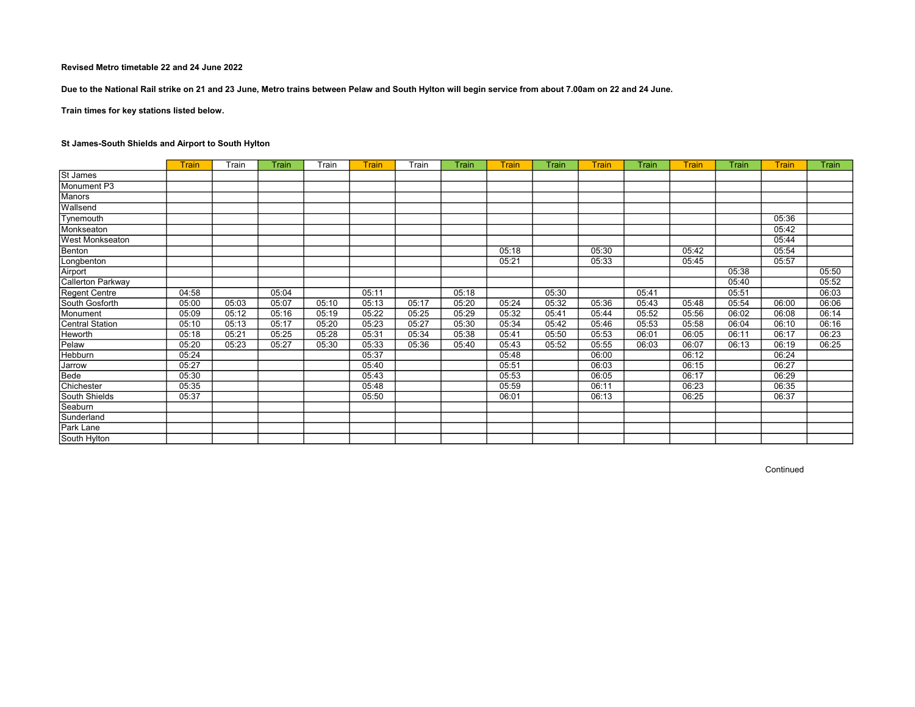Due to the National Rail strike on 21 and 23 June, Metro trains between Pelaw and South Hylton will begin service from about 7.00am on 22 and 24 June.

Train times for key stations listed below.

# St James-South Shields and Airport to South Hylton

|                        | <b>Train</b> | Train | Train | Train | Train | Train | Train | Train | Train | Train | Train | Train | Train | <b>Train</b> | Train |
|------------------------|--------------|-------|-------|-------|-------|-------|-------|-------|-------|-------|-------|-------|-------|--------------|-------|
| St James               |              |       |       |       |       |       |       |       |       |       |       |       |       |              |       |
| Monument P3            |              |       |       |       |       |       |       |       |       |       |       |       |       |              |       |
| <b>Manors</b>          |              |       |       |       |       |       |       |       |       |       |       |       |       |              |       |
| Wallsend               |              |       |       |       |       |       |       |       |       |       |       |       |       |              |       |
| Tynemouth              |              |       |       |       |       |       |       |       |       |       |       |       |       | 05:36        |       |
| Monkseaton             |              |       |       |       |       |       |       |       |       |       |       |       |       | 05:42        |       |
| <b>West Monkseaton</b> |              |       |       |       |       |       |       |       |       |       |       |       |       | 05:44        |       |
| Benton                 |              |       |       |       |       |       |       | 05:18 |       | 05:30 |       | 05:42 |       | 05:54        |       |
| Longbenton             |              |       |       |       |       |       |       | 05:21 |       | 05:33 |       | 05:45 |       | 05:57        |       |
| Airport                |              |       |       |       |       |       |       |       |       |       |       |       | 05:38 |              | 05:50 |
| Callerton Parkway      |              |       |       |       |       |       |       |       |       |       |       |       | 05:40 |              | 05:52 |
| Regent Centre          | 04:58        |       | 05:04 |       | 05:11 |       | 05:18 |       | 05:30 |       | 05:41 |       | 05:51 |              | 06:03 |
| South Gosforth         | 05:00        | 05:03 | 05:07 | 05:10 | 05:13 | 05:17 | 05:20 | 05:24 | 05:32 | 05:36 | 05:43 | 05:48 | 05:54 | 06:00        | 06:06 |
| Monument               | 05:09        | 05:12 | 05:16 | 05:19 | 05:22 | 05:25 | 05:29 | 05:32 | 05:41 | 05:44 | 05:52 | 05:56 | 06:02 | 06:08        | 06:14 |
| Central Station        | 05:10        | 05:13 | 05:17 | 05:20 | 05:23 | 05:27 | 05:30 | 05:34 | 05:42 | 05:46 | 05:53 | 05:58 | 06:04 | 06:10        | 06:16 |
| Heworth                | 05:18        | 05:21 | 05:25 | 05:28 | 05:31 | 05:34 | 05:38 | 05:41 | 05:50 | 05:53 | 06:01 | 06:05 | 06:11 | 06:17        | 06:23 |
| Pelaw                  | 05:20        | 05:23 | 05:27 | 05:30 | 05:33 | 05:36 | 05:40 | 05:43 | 05:52 | 05:55 | 06:03 | 06:07 | 06:13 | 06:19        | 06:25 |
| Hebburn                | 05:24        |       |       |       | 05:37 |       |       | 05:48 |       | 06:00 |       | 06:12 |       | 06:24        |       |
| Jarrow                 | 05:27        |       |       |       | 05:40 |       |       | 05:51 |       | 06:03 |       | 06:15 |       | 06:27        |       |
| Bede                   | 05:30        |       |       |       | 05:43 |       |       | 05:53 |       | 06:05 |       | 06:17 |       | 06:29        |       |
| Chichester             | 05:35        |       |       |       | 05:48 |       |       | 05:59 |       | 06:11 |       | 06:23 |       | 06:35        |       |
| South Shields          | 05:37        |       |       |       | 05:50 |       |       | 06:01 |       | 06:13 |       | 06:25 |       | 06:37        |       |
| Seaburn                |              |       |       |       |       |       |       |       |       |       |       |       |       |              |       |
| Sunderland             |              |       |       |       |       |       |       |       |       |       |       |       |       |              |       |
| Park Lane              |              |       |       |       |       |       |       |       |       |       |       |       |       |              |       |
| South Hylton           |              |       |       |       |       |       |       |       |       |       |       |       |       |              |       |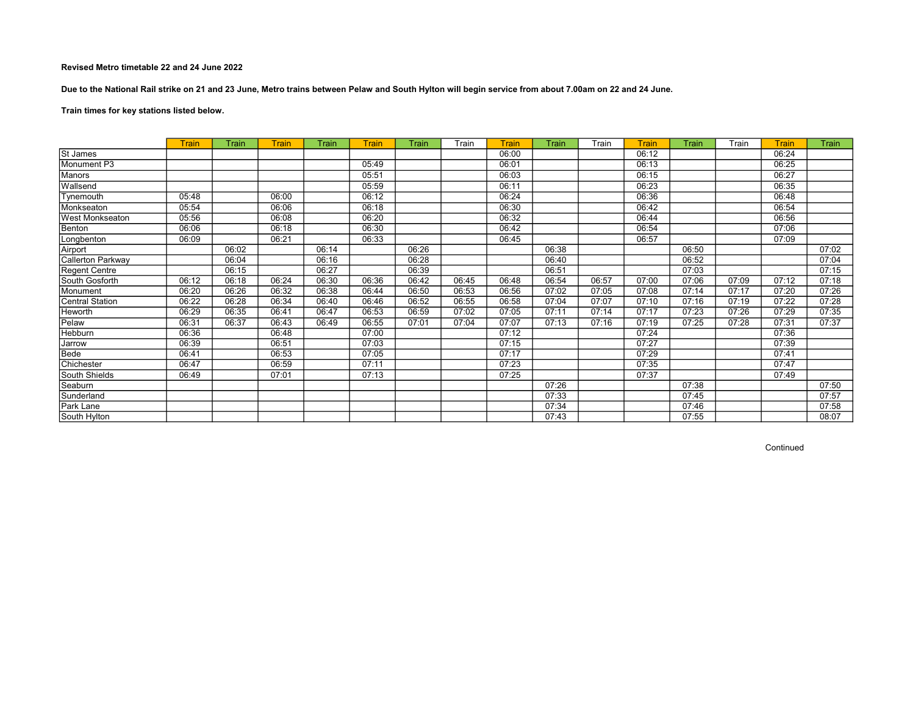Due to the National Rail strike on 21 and 23 June, Metro trains between Pelaw and South Hylton will begin service from about 7.00am on 22 and 24 June.

# Train times for key stations listed below.

|                        | <b>Train</b> | Train | Train | <b>Train</b> | Train | Train | Train | Train | Train | Train | <b>Train</b> | Train | Train | Train | Train |
|------------------------|--------------|-------|-------|--------------|-------|-------|-------|-------|-------|-------|--------------|-------|-------|-------|-------|
| St James               |              |       |       |              |       |       |       | 06:00 |       |       | 06:12        |       |       | 06:24 |       |
| Monument P3            |              |       |       |              | 05:49 |       |       | 06:01 |       |       | 06:13        |       |       | 06:25 |       |
| Manors                 |              |       |       |              | 05:51 |       |       | 06:03 |       |       | 06:15        |       |       | 06:27 |       |
| Wallsend               |              |       |       |              | 05:59 |       |       | 06:11 |       |       | 06:23        |       |       | 06:35 |       |
| Tynemouth              | 05:48        |       | 06:00 |              | 06:12 |       |       | 06:24 |       |       | 06:36        |       |       | 06:48 |       |
| Monkseaton             | 05:54        |       | 06:06 |              | 06:18 |       |       | 06:30 |       |       | 06:42        |       |       | 06:54 |       |
| <b>West Monkseaton</b> | 05:56        |       | 06:08 |              | 06:20 |       |       | 06:32 |       |       | 06:44        |       |       | 06:56 |       |
| Benton                 | 06:06        |       | 06:18 |              | 06:30 |       |       | 06:42 |       |       | 06:54        |       |       | 07:06 |       |
| Longbenton             | 06:09        |       | 06:21 |              | 06:33 |       |       | 06:45 |       |       | 06:57        |       |       | 07:09 |       |
| Airport                |              | 06:02 |       | 06:14        |       | 06:26 |       |       | 06:38 |       |              | 06:50 |       |       | 07:02 |
| Callerton Parkway      |              | 06:04 |       | 06:16        |       | 06:28 |       |       | 06:40 |       |              | 06:52 |       |       | 07:04 |
| Regent Centre          |              | 06:15 |       | 06:27        |       | 06:39 |       |       | 06:51 |       |              | 07:03 |       |       | 07:15 |
| South Gosforth         | 06:12        | 06:18 | 06:24 | 06:30        | 06:36 | 06:42 | 06:45 | 06:48 | 06:54 | 06:57 | 07:00        | 07:06 | 07:09 | 07:12 | 07:18 |
| Monument               | 06:20        | 06:26 | 06:32 | 06:38        | 06:44 | 06:50 | 06:53 | 06:56 | 07:02 | 07:05 | 07:08        | 07:14 | 07:17 | 07:20 | 07:26 |
| Central Station        | 06:22        | 06:28 | 06:34 | 06:40        | 06:46 | 06:52 | 06:55 | 06:58 | 07:04 | 07:07 | 07:10        | 07:16 | 07:19 | 07:22 | 07:28 |
| Heworth                | 06:29        | 06:35 | 06:41 | 06:47        | 06:53 | 06:59 | 07:02 | 07:05 | 07:11 | 07:14 | 07:17        | 07:23 | 07:26 | 07:29 | 07:35 |
| Pelaw                  | 06:31        | 06:37 | 06:43 | 06:49        | 06:55 | 07:01 | 07:04 | 07:07 | 07:13 | 07:16 | 07:19        | 07:25 | 07:28 | 07:31 | 07:37 |
| Hebburn                | 06:36        |       | 06:48 |              | 07:00 |       |       | 07:12 |       |       | 07:24        |       |       | 07:36 |       |
| Jarrow                 | 06:39        |       | 06:51 |              | 07:03 |       |       | 07:15 |       |       | 07:27        |       |       | 07:39 |       |
| Bede                   | 06:41        |       | 06:53 |              | 07:05 |       |       | 07:17 |       |       | 07:29        |       |       | 07:41 |       |
| Chichester             | 06:47        |       | 06:59 |              | 07:11 |       |       | 07:23 |       |       | 07:35        |       |       | 07:47 |       |
| South Shields          | 06:49        |       | 07:01 |              | 07:13 |       |       | 07:25 |       |       | 07:37        |       |       | 07:49 |       |
| Seaburn                |              |       |       |              |       |       |       |       | 07:26 |       |              | 07:38 |       |       | 07:50 |
| Sunderland             |              |       |       |              |       |       |       |       | 07:33 |       |              | 07:45 |       |       | 07:57 |
| <b>Park Lane</b>       |              |       |       |              |       |       |       |       | 07:34 |       |              | 07:46 |       |       | 07:58 |
| South Hylton           |              |       |       |              |       |       |       |       | 07:43 |       |              | 07:55 |       |       | 08:07 |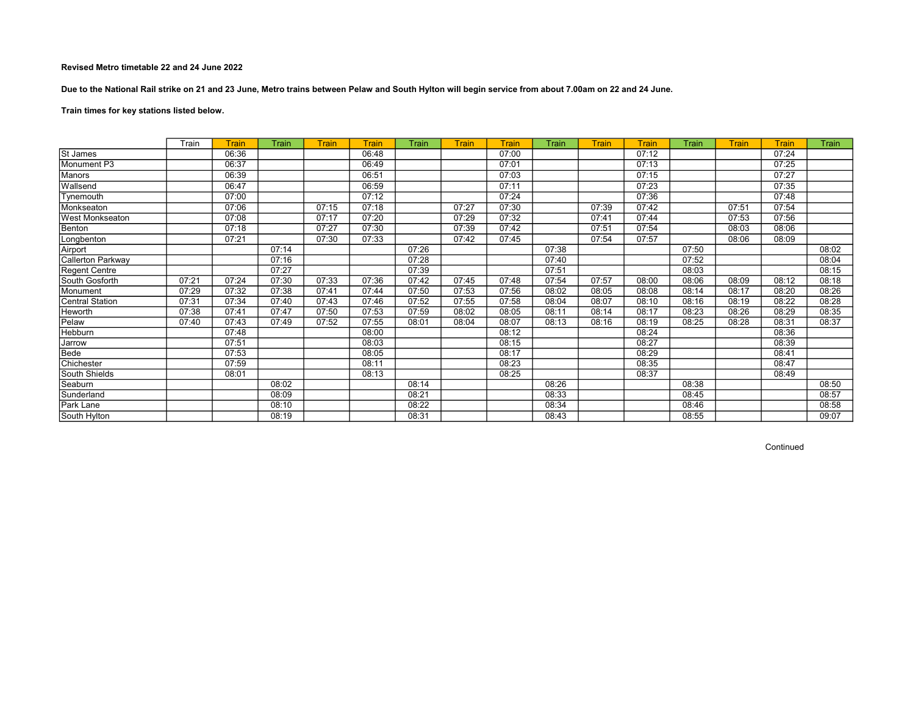Due to the National Rail strike on 21 and 23 June, Metro trains between Pelaw and South Hylton will begin service from about 7.00am on 22 and 24 June.

# Train times for key stations listed below.

|                   | Train | Train | Train | <b>Train</b> | Train | Train | Train | Train | Train | Train | <b>Train</b> | Train | <b>Train</b> | Train | Train |
|-------------------|-------|-------|-------|--------------|-------|-------|-------|-------|-------|-------|--------------|-------|--------------|-------|-------|
| St James          |       | 06:36 |       |              | 06:48 |       |       | 07:00 |       |       | 07:12        |       |              | 07:24 |       |
| Monument P3       |       | 06:37 |       |              | 06:49 |       |       | 07:01 |       |       | 07:13        |       |              | 07:25 |       |
| <b>Manors</b>     |       | 06:39 |       |              | 06:51 |       |       | 07:03 |       |       | 07:15        |       |              | 07:27 |       |
| Wallsend          |       | 06:47 |       |              | 06:59 |       |       | 07:11 |       |       | 07:23        |       |              | 07:35 |       |
| Tynemouth         |       | 07:00 |       |              | 07:12 |       |       | 07:24 |       |       | 07:36        |       |              | 07:48 |       |
| Monkseaton        |       | 07:06 |       | 07:15        | 07:18 |       | 07:27 | 07:30 |       | 07:39 | 07:42        |       | 07:51        | 07:54 |       |
| West Monkseaton   |       | 07:08 |       | 07:17        | 07:20 |       | 07:29 | 07:32 |       | 07:41 | 07:44        |       | 07:53        | 07:56 |       |
| Benton            |       | 07:18 |       | 07:27        | 07:30 |       | 07:39 | 07:42 |       | 07:51 | 07:54        |       | 08:03        | 08:06 |       |
| Longbenton        |       | 07:21 |       | 07:30        | 07:33 |       | 07:42 | 07:45 |       | 07:54 | 07:57        |       | 08:06        | 08:09 |       |
| Airport           |       |       | 07:14 |              |       | 07:26 |       |       | 07:38 |       |              | 07:50 |              |       | 08:02 |
| Callerton Parkway |       |       | 07:16 |              |       | 07:28 |       |       | 07:40 |       |              | 07:52 |              |       | 08:04 |
| Regent Centre     |       |       | 07:27 |              |       | 07:39 |       |       | 07:51 |       |              | 08:03 |              |       | 08:15 |
| South Gosforth    | 07:21 | 07:24 | 07:30 | 07:33        | 07:36 | 07:42 | 07:45 | 07:48 | 07:54 | 07:57 | 08:00        | 08:06 | 08:09        | 08:12 | 08:18 |
| Monument          | 07:29 | 07:32 | 07:38 | 07:41        | 07:44 | 07:50 | 07:53 | 07:56 | 08:02 | 08:05 | 08:08        | 08:14 | 08:17        | 08:20 | 08:26 |
| Central Station   | 07:31 | 07:34 | 07:40 | 07:43        | 07:46 | 07:52 | 07:55 | 07:58 | 08:04 | 08:07 | 08:10        | 08:16 | 08:19        | 08:22 | 08:28 |
| <b>Heworth</b>    | 07:38 | 07:41 | 07:47 | 07:50        | 07:53 | 07:59 | 08:02 | 08:05 | 08:11 | 08:14 | 08:17        | 08:23 | 08:26        | 08:29 | 08:35 |
| Pelaw             | 07:40 | 07:43 | 07:49 | 07:52        | 07:55 | 08:01 | 08:04 | 08:07 | 08:13 | 08:16 | 08:19        | 08:25 | 08:28        | 08:31 | 08:37 |
| Hebburn           |       | 07:48 |       |              | 08:00 |       |       | 08:12 |       |       | 08:24        |       |              | 08:36 |       |
| Jarrow            |       | 07:51 |       |              | 08:03 |       |       | 08:15 |       |       | 08:27        |       |              | 08:39 |       |
| Bede              |       | 07:53 |       |              | 08:05 |       |       | 08:17 |       |       | 08:29        |       |              | 08:41 |       |
| Chichester        |       | 07:59 |       |              | 08:11 |       |       | 08:23 |       |       | 08:35        |       |              | 08:47 |       |
| South Shields     |       | 08:01 |       |              | 08:13 |       |       | 08:25 |       |       | 08:37        |       |              | 08:49 |       |
| Seaburn           |       |       | 08:02 |              |       | 08:14 |       |       | 08:26 |       |              | 08:38 |              |       | 08:50 |
| Sunderland        |       |       | 08:09 |              |       | 08:21 |       |       | 08:33 |       |              | 08:45 |              |       | 08:57 |
| <b>Park Lane</b>  |       |       | 08:10 |              |       | 08:22 |       |       | 08:34 |       |              | 08:46 |              |       | 08:58 |
| South Hylton      |       |       | 08:19 |              |       | 08:31 |       |       | 08:43 |       |              | 08:55 |              |       | 09:07 |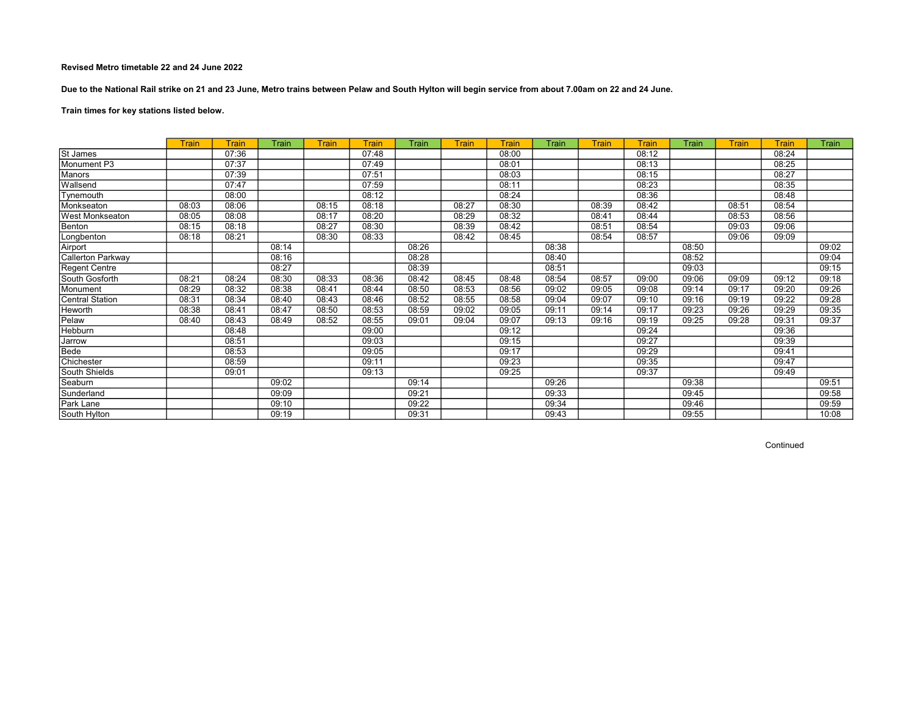Due to the National Rail strike on 21 and 23 June, Metro trains between Pelaw and South Hylton will begin service from about 7.00am on 22 and 24 June.

# Train times for key stations listed below.

|                          | <b>Train</b> | <b>Train</b> | Train | Train | <b>Train</b> | Train | Train | Train | Train | <b>Train</b> | Train | Train | Train | Train | Train |
|--------------------------|--------------|--------------|-------|-------|--------------|-------|-------|-------|-------|--------------|-------|-------|-------|-------|-------|
| St James                 |              | 07:36        |       |       | 07:48        |       |       | 08:00 |       |              | 08:12 |       |       | 08:24 |       |
| Monument P3              |              | 07:37        |       |       | 07:49        |       |       | 08:01 |       |              | 08:13 |       |       | 08:25 |       |
| <b>Manors</b>            |              | 07:39        |       |       | 07:51        |       |       | 08:03 |       |              | 08:15 |       |       | 08:27 |       |
| Wallsend                 |              | 07:47        |       |       | 07:59        |       |       | 08:11 |       |              | 08:23 |       |       | 08:35 |       |
| Tynemouth                |              | 08:00        |       |       | 08:12        |       |       | 08:24 |       |              | 08:36 |       |       | 08:48 |       |
| Monkseaton               | 08:03        | 08:06        |       | 08:15 | 08:18        |       | 08:27 | 08:30 |       | 08:39        | 08:42 |       | 08:51 | 08:54 |       |
| West Monkseaton          | 08:05        | 08:08        |       | 08:17 | 08:20        |       | 08:29 | 08:32 |       | 08:41        | 08:44 |       | 08:53 | 08:56 |       |
| Benton                   | 08:15        | 08:18        |       | 08:27 | 08:30        |       | 08:39 | 08:42 |       | 08:51        | 08:54 |       | 09:03 | 09:06 |       |
| Longbenton               | 08:18        | 08:21        |       | 08:30 | 08:33        |       | 08:42 | 08:45 |       | 08:54        | 08:57 |       | 09:06 | 09:09 |       |
| Airport                  |              |              | 08:14 |       |              | 08:26 |       |       | 08:38 |              |       | 08:50 |       |       | 09:02 |
| <b>Callerton Parkway</b> |              |              | 08:16 |       |              | 08:28 |       |       | 08:40 |              |       | 08:52 |       |       | 09:04 |
| <b>Regent Centre</b>     |              |              | 08:27 |       |              | 08:39 |       |       | 08:51 |              |       | 09:03 |       |       | 09:15 |
| South Gosforth           | 08:21        | 08:24        | 08:30 | 08:33 | 08:36        | 08:42 | 08:45 | 08:48 | 08:54 | 08:57        | 09:00 | 09:06 | 09:09 | 09:12 | 09:18 |
| Monument                 | 08:29        | 08:32        | 08:38 | 08:41 | 08:44        | 08:50 | 08:53 | 08:56 | 09:02 | 09:05        | 09:08 | 09:14 | 09:17 | 09:20 | 09:26 |
| <b>Central Station</b>   | 08:31        | 08:34        | 08:40 | 08:43 | 08:46        | 08:52 | 08:55 | 08:58 | 09:04 | 09:07        | 09:10 | 09:16 | 09:19 | 09:22 | 09:28 |
| Heworth                  | 08:38        | 08:41        | 08:47 | 08:50 | 08:53        | 08:59 | 09:02 | 09:05 | 09:11 | 09:14        | 09:17 | 09:23 | 09:26 | 09:29 | 09:35 |
| Pelaw                    | 08:40        | 08:43        | 08:49 | 08:52 | 08:55        | 09:01 | 09:04 | 09:07 | 09:13 | 09:16        | 09:19 | 09:25 | 09:28 | 09:31 | 09:37 |
| Hebburn                  |              | 08:48        |       |       | 09:00        |       |       | 09:12 |       |              | 09:24 |       |       | 09:36 |       |
| Jarrow                   |              | 08:51        |       |       | 09:03        |       |       | 09:15 |       |              | 09:27 |       |       | 09:39 |       |
| Bede                     |              | 08:53        |       |       | 09:05        |       |       | 09:17 |       |              | 09:29 |       |       | 09:41 |       |
| Chichester               |              | 08:59        |       |       | 09:11        |       |       | 09:23 |       |              | 09:35 |       |       | 09:47 |       |
| South Shields            |              | 09:01        |       |       | 09:13        |       |       | 09:25 |       |              | 09:37 |       |       | 09:49 |       |
| Seaburn                  |              |              | 09:02 |       |              | 09:14 |       |       | 09:26 |              |       | 09:38 |       |       | 09:51 |
| Sunderland               |              |              | 09:09 |       |              | 09:21 |       |       | 09:33 |              |       | 09:45 |       |       | 09:58 |
| Park Lane                |              |              | 09:10 |       |              | 09:22 |       |       | 09:34 |              |       | 09:46 |       |       | 09:59 |
| South Hylton             |              |              | 09:19 |       |              | 09:31 |       |       | 09:43 |              |       | 09:55 |       |       | 10:08 |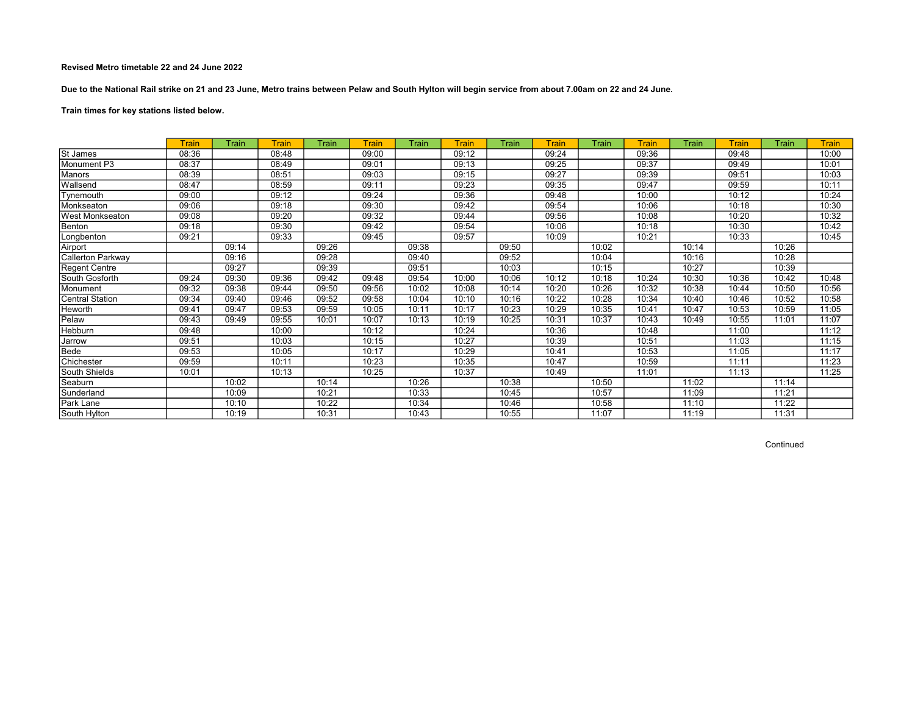Due to the National Rail strike on 21 and 23 June, Metro trains between Pelaw and South Hylton will begin service from about 7.00am on 22 and 24 June.

# Train times for key stations listed below.

|                          | Train | Train | Train | Train | Train | Train | Train | Train | Train | Train | <b>Train</b> | Train | Train | Train | <b>Train</b> |
|--------------------------|-------|-------|-------|-------|-------|-------|-------|-------|-------|-------|--------------|-------|-------|-------|--------------|
| St James                 | 08:36 |       | 08:48 |       | 09:00 |       | 09:12 |       | 09:24 |       | 09:36        |       | 09:48 |       | 10:00        |
| Monument P3              | 08:37 |       | 08:49 |       | 09:01 |       | 09:13 |       | 09:25 |       | 09:37        |       | 09:49 |       | 10:01        |
| Manors                   | 08:39 |       | 08:51 |       | 09:03 |       | 09:15 |       | 09:27 |       | 09:39        |       | 09:51 |       | 10:03        |
| Wallsend                 | 08:47 |       | 08:59 |       | 09:11 |       | 09:23 |       | 09:35 |       | 09:47        |       | 09:59 |       | 10:11        |
| Tynemouth                | 09:00 |       | 09:12 |       | 09:24 |       | 09:36 |       | 09:48 |       | 10:00        |       | 10:12 |       | 10:24        |
| Monkseaton               | 09:06 |       | 09:18 |       | 09:30 |       | 09:42 |       | 09:54 |       | 10:06        |       | 10:18 |       | 10:30        |
| <b>West Monkseaton</b>   | 09:08 |       | 09:20 |       | 09:32 |       | 09:44 |       | 09:56 |       | 10:08        |       | 10:20 |       | 10:32        |
| Benton                   | 09:18 |       | 09:30 |       | 09:42 |       | 09:54 |       | 10:06 |       | 10:18        |       | 10:30 |       | 10:42        |
| Longbenton               | 09:21 |       | 09:33 |       | 09:45 |       | 09:57 |       | 10:09 |       | 10:21        |       | 10:33 |       | 10:45        |
| Airport                  |       | 09:14 |       | 09:26 |       | 09:38 |       | 09:50 |       | 10:02 |              | 10:14 |       | 10:26 |              |
| <b>Callerton Parkway</b> |       | 09:16 |       | 09:28 |       | 09:40 |       | 09:52 |       | 10:04 |              | 10:16 |       | 10:28 |              |
| Regent Centre            |       | 09:27 |       | 09:39 |       | 09:51 |       | 10:03 |       | 10:15 |              | 10:27 |       | 10:39 |              |
| South Gosforth           | 09:24 | 09:30 | 09:36 | 09:42 | 09:48 | 09:54 | 10:00 | 10:06 | 10:12 | 10:18 | 10:24        | 10:30 | 10:36 | 10:42 | 10:48        |
| Monument                 | 09:32 | 09:38 | 09:44 | 09:50 | 09:56 | 10:02 | 10:08 | 10:14 | 10:20 | 10:26 | 10:32        | 10:38 | 10:44 | 10:50 | 10:56        |
| Central Station          | 09:34 | 09:40 | 09:46 | 09:52 | 09:58 | 10:04 | 10:10 | 10:16 | 10:22 | 10:28 | 10:34        | 10:40 | 10:46 | 10:52 | 10:58        |
| Heworth                  | 09:41 | 09:47 | 09:53 | 09:59 | 10:05 | 10:11 | 10:17 | 10:23 | 10:29 | 10:35 | 10:41        | 10:47 | 10:53 | 10:59 | 11:05        |
| Pelaw                    | 09:43 | 09:49 | 09:55 | 10:01 | 10:07 | 10:13 | 10:19 | 10:25 | 10:31 | 10:37 | 10:43        | 10:49 | 10:55 | 11:01 | 11:07        |
| Hebburn                  | 09:48 |       | 10:00 |       | 10:12 |       | 10:24 |       | 10:36 |       | 10:48        |       | 11:00 |       | 11:12        |
| Jarrow                   | 09:51 |       | 10:03 |       | 10:15 |       | 10:27 |       | 10:39 |       | 10:51        |       | 11:03 |       | 11:15        |
| Bede                     | 09:53 |       | 10:05 |       | 10:17 |       | 10:29 |       | 10:41 |       | 10:53        |       | 11:05 |       | 11:17        |
| Chichester               | 09:59 |       | 10:11 |       | 10:23 |       | 10:35 |       | 10:47 |       | 10:59        |       | 11:11 |       | 11:23        |
| South Shields            | 10:01 |       | 10:13 |       | 10:25 |       | 10:37 |       | 10:49 |       | 11:01        |       | 11:13 |       | 11:25        |
| Seaburn                  |       | 10:02 |       | 10:14 |       | 10:26 |       | 10:38 |       | 10:50 |              | 11:02 |       | 11:14 |              |
| Sunderland               |       | 10:09 |       | 10:21 |       | 10:33 |       | 10:45 |       | 10:57 |              | 11:09 |       | 11:21 |              |
| Park Lane                |       | 10:10 |       | 10:22 |       | 10:34 |       | 10:46 |       | 10:58 |              | 11:10 |       | 11:22 |              |
| South Hylton             |       | 10:19 |       | 10:31 |       | 10:43 |       | 10:55 |       | 11:07 |              | 11:19 |       | 11:31 |              |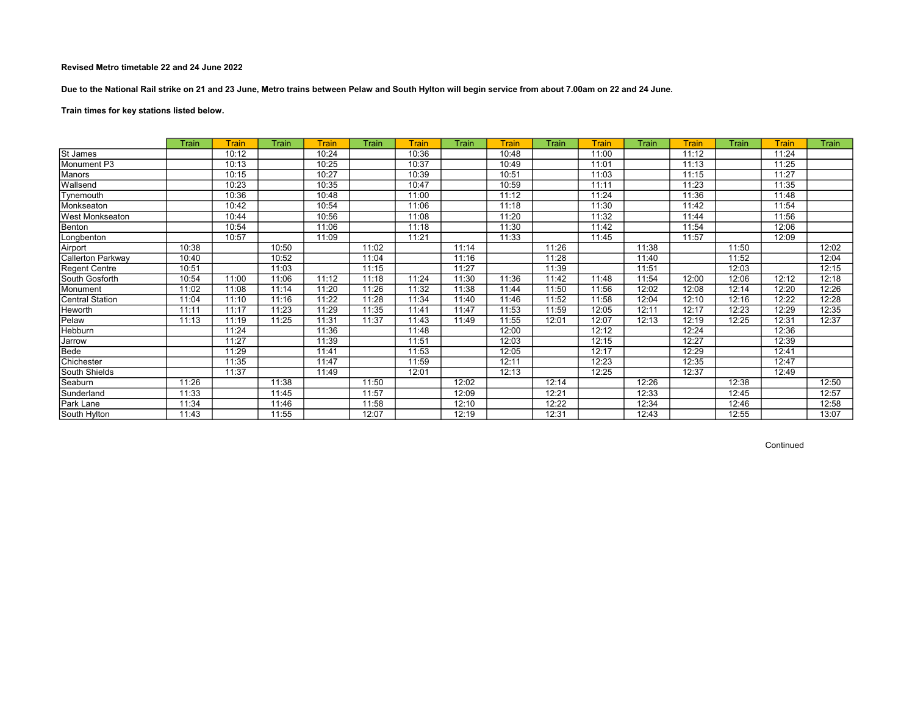Due to the National Rail strike on 21 and 23 June, Metro trains between Pelaw and South Hylton will begin service from about 7.00am on 22 and 24 June.

Train times for key stations listed below.

|                   | Train | Train | Train | Train | <b>Train</b> | <b>Train</b> | Train | Train | Train | Train | Train | <b>Train</b> | Train | Train | Train |
|-------------------|-------|-------|-------|-------|--------------|--------------|-------|-------|-------|-------|-------|--------------|-------|-------|-------|
| St James          |       | 10:12 |       | 10:24 |              | 10:36        |       | 10:48 |       | 11:00 |       | 11:12        |       | 11:24 |       |
| Monument P3       |       | 10:13 |       | 10:25 |              | 10:37        |       | 10:49 |       | 11:01 |       | 11:13        |       | 11:25 |       |
| Manors            |       | 10:15 |       | 10:27 |              | 10:39        |       | 10:51 |       | 11:03 |       | 11:15        |       | 11:27 |       |
| Wallsend          |       | 10:23 |       | 10:35 |              | 10:47        |       | 10:59 |       | 11:11 |       | 11:23        |       | 11:35 |       |
| Tynemouth         |       | 10:36 |       | 10:48 |              | 11:00        |       | 11:12 |       | 11:24 |       | 11:36        |       | 11:48 |       |
| Monkseaton        |       | 10:42 |       | 10:54 |              | 11:06        |       | 11:18 |       | 11:30 |       | 11:42        |       | 11:54 |       |
| West Monkseaton   |       | 10:44 |       | 10:56 |              | 11:08        |       | 11:20 |       | 11:32 |       | 11:44        |       | 11:56 |       |
| Benton            |       | 10:54 |       | 11:06 |              | 11:18        |       | 11:30 |       | 11:42 |       | 11:54        |       | 12:06 |       |
| Longbenton        |       | 10:57 |       | 11:09 |              | 11:21        |       | 11:33 |       | 11:45 |       | 11:57        |       | 12:09 |       |
| Airport           | 10:38 |       | 10:50 |       | 11:02        |              | 11:14 |       | 11:26 |       | 11:38 |              | 11:50 |       | 12:02 |
| Callerton Parkway | 10:40 |       | 10:52 |       | 11:04        |              | 11:16 |       | 11:28 |       | 11:40 |              | 11:52 |       | 12:04 |
| Regent Centre     | 10:51 |       | 11:03 |       | 11:15        |              | 11:27 |       | 11:39 |       | 11:51 |              | 12:03 |       | 12:15 |
| South Gosforth    | 10:54 | 11:00 | 11:06 | 11:12 | 11:18        | 11:24        | 11:30 | 11:36 | 11:42 | 11:48 | 11:54 | 12:00        | 12:06 | 12:12 | 12:18 |
| Monument          | 11:02 | 11:08 | 11:14 | 11:20 | 11:26        | 11:32        | 11:38 | 11:44 | 11:50 | 11:56 | 12:02 | 12:08        | 12:14 | 12:20 | 12:26 |
| Central Station   | 11:04 | 11:10 | 11:16 | 11:22 | 11:28        | 11:34        | 11:40 | 11:46 | 11:52 | 11:58 | 12:04 | 12:10        | 12:16 | 12:22 | 12:28 |
| <b>Heworth</b>    | 11:11 | 11:17 | 11:23 | 11:29 | 11:35        | 11:41        | 11:47 | 11:53 | 11:59 | 12:05 | 12:11 | 12:17        | 12:23 | 12:29 | 12:35 |
| Pelaw             | 11:13 | 11:19 | 11:25 | 11:31 | 11:37        | 11:43        | 11:49 | 11:55 | 12:01 | 12:07 | 12:13 | 12:19        | 12:25 | 12:31 | 12:37 |
| Hebburn           |       | 11:24 |       | 11:36 |              | 11:48        |       | 12:00 |       | 12:12 |       | 12:24        |       | 12:36 |       |
| Jarrow            |       | 11:27 |       | 11:39 |              | 11:51        |       | 12:03 |       | 12:15 |       | 12:27        |       | 12:39 |       |
| Bede              |       | 11:29 |       | 11:41 |              | 11:53        |       | 12:05 |       | 12:17 |       | 12:29        |       | 12:41 |       |
| Chichester        |       | 11:35 |       | 11:47 |              | 11:59        |       | 12:11 |       | 12:23 |       | 12:35        |       | 12:47 |       |
| South Shields     |       | 11:37 |       | 11:49 |              | 12:01        |       | 12:13 |       | 12:25 |       | 12:37        |       | 12:49 |       |
| Seaburn           | 11:26 |       | 11:38 |       | 11:50        |              | 12:02 |       | 12:14 |       | 12:26 |              | 12:38 |       | 12:50 |
| Sunderland        | 11:33 |       | 11:45 |       | 11:57        |              | 12:09 |       | 12:21 |       | 12:33 |              | 12:45 |       | 12:57 |
| Park Lane         | 11:34 |       | 11:46 |       | 11:58        |              | 12:10 |       | 12:22 |       | 12:34 |              | 12:46 |       | 12:58 |
| South Hylton      | 11:43 |       | 11:55 |       | 12:07        |              | 12:19 |       | 12:31 |       | 12:43 |              | 12:55 |       | 13:07 |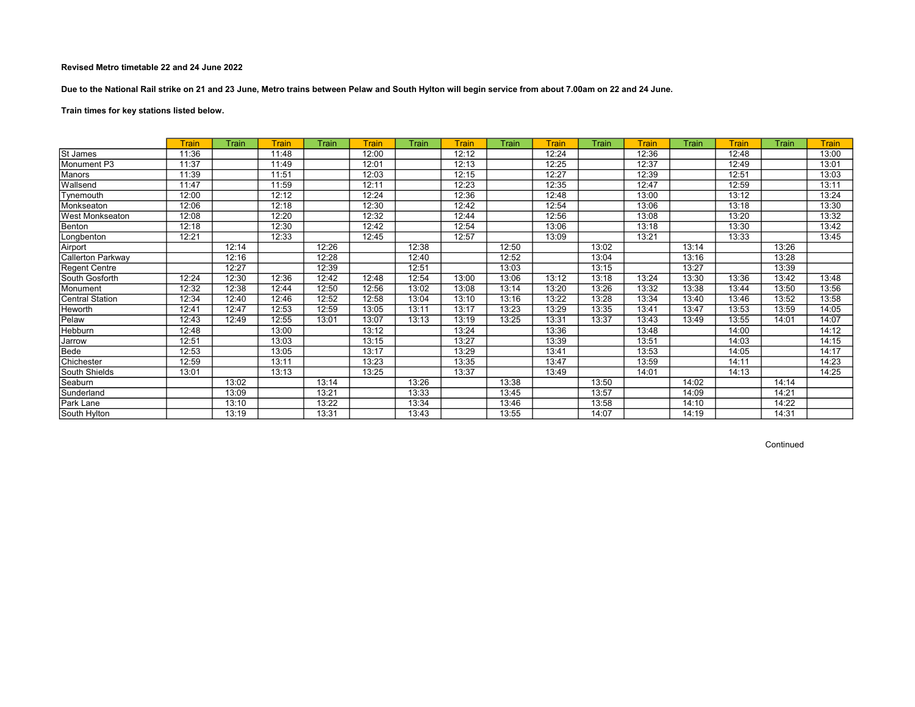Due to the National Rail strike on 21 and 23 June, Metro trains between Pelaw and South Hylton will begin service from about 7.00am on 22 and 24 June.

# Train times for key stations listed below.

|                        | <b>Train</b> | Train | Train | Train | <b>Train</b> | Train | Train | Train | <b>Train</b> | Train | <b>Train</b> | Train | Train | Train | <b>Train</b> |
|------------------------|--------------|-------|-------|-------|--------------|-------|-------|-------|--------------|-------|--------------|-------|-------|-------|--------------|
| St James               | 11:36        |       | 11:48 |       | 12:00        |       | 12:12 |       | 12:24        |       | 12:36        |       | 12:48 |       | 13:00        |
| Monument P3            | 11:37        |       | 11:49 |       | 12:01        |       | 12:13 |       | 12:25        |       | 12:37        |       | 12:49 |       | 13:01        |
| Manors                 | 11:39        |       | 11:51 |       | 12:03        |       | 12:15 |       | 12:27        |       | 12:39        |       | 12:51 |       | 13:03        |
| Wallsend               | 11:47        |       | 11:59 |       | 12:11        |       | 12:23 |       | 12:35        |       | 12:47        |       | 12:59 |       | 13:11        |
| Tynemouth              | 12:00        |       | 12:12 |       | 12:24        |       | 12:36 |       | 12:48        |       | 13:00        |       | 13:12 |       | 13:24        |
| Monkseaton             | 12:06        |       | 12:18 |       | 12:30        |       | 12:42 |       | 12:54        |       | 13:06        |       | 13:18 |       | 13:30        |
| <b>West Monkseaton</b> | 12:08        |       | 12:20 |       | 12:32        |       | 12:44 |       | 12:56        |       | 13:08        |       | 13:20 |       | 13:32        |
| Benton                 | 12:18        |       | 12:30 |       | 12:42        |       | 12:54 |       | 13:06        |       | 13:18        |       | 13:30 |       | 13:42        |
| Longbenton             | 12:21        |       | 12:33 |       | 12:45        |       | 12:57 |       | 13:09        |       | 13:21        |       | 13:33 |       | 13:45        |
| Airport                |              | 12:14 |       | 12:26 |              | 12:38 |       | 12:50 |              | 13:02 |              | 13:14 |       | 13:26 |              |
| Callerton Parkway      |              | 12:16 |       | 12:28 |              | 12:40 |       | 12:52 |              | 13:04 |              | 13:16 |       | 13:28 |              |
| Regent Centre          |              | 12:27 |       | 12:39 |              | 12:51 |       | 13:03 |              | 13:15 |              | 13:27 |       | 13:39 |              |
| South Gosforth         | 12:24        | 12:30 | 12:36 | 12:42 | 12:48        | 12:54 | 13:00 | 13:06 | 13:12        | 13:18 | 13:24        | 13:30 | 13:36 | 13:42 | 13:48        |
| Monument               | 12:32        | 12:38 | 12:44 | 12:50 | 12:56        | 13:02 | 13:08 | 13:14 | 13:20        | 13:26 | 13:32        | 13:38 | 13:44 | 13:50 | 13:56        |
| Central Station        | 12:34        | 12:40 | 12:46 | 12:52 | 12:58        | 13:04 | 13:10 | 13:16 | 13:22        | 13:28 | 13:34        | 13:40 | 13:46 | 13:52 | 13:58        |
| Heworth                | 12:41        | 12:47 | 12:53 | 12:59 | 13:05        | 13:11 | 13:17 | 13:23 | 13:29        | 13:35 | 13:41        | 13:47 | 13:53 | 13:59 | 14:05        |
| Pelaw                  | 12:43        | 12:49 | 12:55 | 13:01 | 13:07        | 13:13 | 13:19 | 13:25 | 13:31        | 13:37 | 13:43        | 13:49 | 13:55 | 14:01 | 14:07        |
| Hebburn                | 12:48        |       | 13:00 |       | 13:12        |       | 13:24 |       | 13:36        |       | 13:48        |       | 14:00 |       | 14:12        |
| Jarrow                 | 12:51        |       | 13:03 |       | 13:15        |       | 13:27 |       | 13:39        |       | 13:51        |       | 14:03 |       | 14:15        |
| Bede                   | 12:53        |       | 13:05 |       | 13:17        |       | 13:29 |       | 13:41        |       | 13:53        |       | 14:05 |       | 14:17        |
| Chichester             | 12:59        |       | 13:11 |       | 13:23        |       | 13:35 |       | 13:47        |       | 13:59        |       | 14:11 |       | 14:23        |
| South Shields          | 13:01        |       | 13:13 |       | 13:25        |       | 13:37 |       | 13:49        |       | 14:01        |       | 14:13 |       | 14:25        |
| Seaburn                |              | 13:02 |       | 13:14 |              | 13:26 |       | 13:38 |              | 13:50 |              | 14:02 |       | 14:14 |              |
| Sunderland             |              | 13:09 |       | 13:21 |              | 13:33 |       | 13:45 |              | 13:57 |              | 14:09 |       | 14:21 |              |
| <b>Park Lane</b>       |              | 13:10 |       | 13:22 |              | 13:34 |       | 13:46 |              | 13:58 |              | 14:10 |       | 14:22 |              |
| South Hylton           |              | 13:19 |       | 13:31 |              | 13:43 |       | 13:55 |              | 14:07 |              | 14:19 |       | 14:31 |              |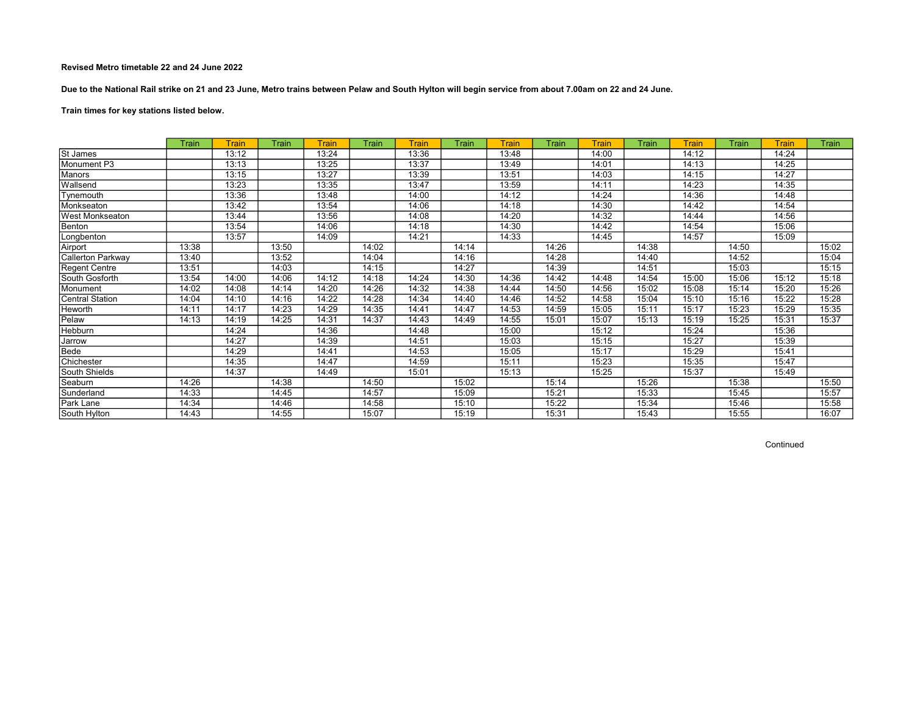Due to the National Rail strike on 21 and 23 June, Metro trains between Pelaw and South Hylton will begin service from about 7.00am on 22 and 24 June.

Train times for key stations listed below.

|                   | Train | Train | Train | <b>Train</b> | <b>Train</b> | <b>Train</b> | Train | Train | Train | Train | Train | <b>Train</b> | Train | <b>Train</b> | Train |
|-------------------|-------|-------|-------|--------------|--------------|--------------|-------|-------|-------|-------|-------|--------------|-------|--------------|-------|
| St James          |       | 13:12 |       | 13:24        |              | 13:36        |       | 13:48 |       | 14:00 |       | 14:12        |       | 14:24        |       |
| Monument P3       |       | 13:13 |       | 13:25        |              | 13:37        |       | 13:49 |       | 14:01 |       | 14:13        |       | 14:25        |       |
| Manors            |       | 13:15 |       | 13:27        |              | 13:39        |       | 13:51 |       | 14:03 |       | 14:15        |       | 14:27        |       |
| Wallsend          |       | 13:23 |       | 13:35        |              | 13:47        |       | 13:59 |       | 14:11 |       | 14:23        |       | 14:35        |       |
| Tynemouth         |       | 13:36 |       | 13:48        |              | 14:00        |       | 14:12 |       | 14:24 |       | 14:36        |       | 14:48        |       |
| Monkseaton        |       | 13:42 |       | 13:54        |              | 14:06        |       | 14:18 |       | 14:30 |       | 14:42        |       | 14:54        |       |
| West Monkseaton   |       | 13:44 |       | 13:56        |              | 14:08        |       | 14:20 |       | 14:32 |       | 14:44        |       | 14:56        |       |
| Benton            |       | 13:54 |       | 14:06        |              | 14:18        |       | 14:30 |       | 14:42 |       | 14:54        |       | 15:06        |       |
| _ongbenton        |       | 13:57 |       | 14:09        |              | 14:21        |       | 14:33 |       | 14:45 |       | 14:57        |       | 15:09        |       |
| Airport           | 13:38 |       | 13:50 |              | 14:02        |              | 14:14 |       | 14:26 |       | 14:38 |              | 14:50 |              | 15:02 |
| Callerton Parkway | 13:40 |       | 13:52 |              | 14:04        |              | 14:16 |       | 14:28 |       | 14:40 |              | 14:52 |              | 15:04 |
| Regent Centre     | 13:51 |       | 14:03 |              | 14:15        |              | 14:27 |       | 14:39 |       | 14:51 |              | 15:03 |              | 15:15 |
| South Gosforth    | 13:54 | 14:00 | 14:06 | 14:12        | 14:18        | 14:24        | 14:30 | 14:36 | 14:42 | 14:48 | 14:54 | 15:00        | 15:06 | 15:12        | 15:18 |
| Monument          | 14:02 | 14:08 | 14:14 | 14:20        | 14:26        | 14:32        | 14:38 | 14:44 | 14:50 | 14:56 | 15:02 | 15:08        | 15:14 | 15:20        | 15:26 |
| Central Station   | 14:04 | 14:10 | 14:16 | 14:22        | 14:28        | 14:34        | 14:40 | 14:46 | 14:52 | 14:58 | 15:04 | 15:10        | 15:16 | 15:22        | 15:28 |
| Heworth           | 14:11 | 14:17 | 14:23 | 14:29        | 14:35        | 14:41        | 14:47 | 14:53 | 14:59 | 15:05 | 15:11 | 15:17        | 15:23 | 15:29        | 15:35 |
| Pelaw             | 14:13 | 14:19 | 14:25 | 14:31        | 14:37        | 14:43        | 14:49 | 14:55 | 15:01 | 15:07 | 15:13 | 15:19        | 15:25 | 15:31        | 15:37 |
| Hebburn           |       | 14:24 |       | 14:36        |              | 14:48        |       | 15:00 |       | 15:12 |       | 15:24        |       | 15:36        |       |
| Jarrow            |       | 14:27 |       | 14:39        |              | 14:51        |       | 15:03 |       | 15:15 |       | 15:27        |       | 15:39        |       |
| Bede              |       | 14:29 |       | 14:41        |              | 14:53        |       | 15:05 |       | 15:17 |       | 15:29        |       | 15:41        |       |
| Chichester        |       | 14:35 |       | 14:47        |              | 14:59        |       | 15:11 |       | 15:23 |       | 15:35        |       | 15:47        |       |
| South Shields     |       | 14:37 |       | 14:49        |              | 15:01        |       | 15:13 |       | 15:25 |       | 15:37        |       | 15:49        |       |
| Seaburn           | 14:26 |       | 14:38 |              | 14:50        |              | 15:02 |       | 15:14 |       | 15:26 |              | 15:38 |              | 15:50 |
| Sunderland        | 14:33 |       | 14:45 |              | 14:57        |              | 15:09 |       | 15:21 |       | 15:33 |              | 15:45 |              | 15:57 |
| Park Lane         | 14:34 |       | 14:46 |              | 14:58        |              | 15:10 |       | 15:22 |       | 15:34 |              | 15:46 |              | 15:58 |
| South Hylton      | 14:43 |       | 14:55 |              | 15:07        |              | 15:19 |       | 15:31 |       | 15:43 |              | 15:55 |              | 16:07 |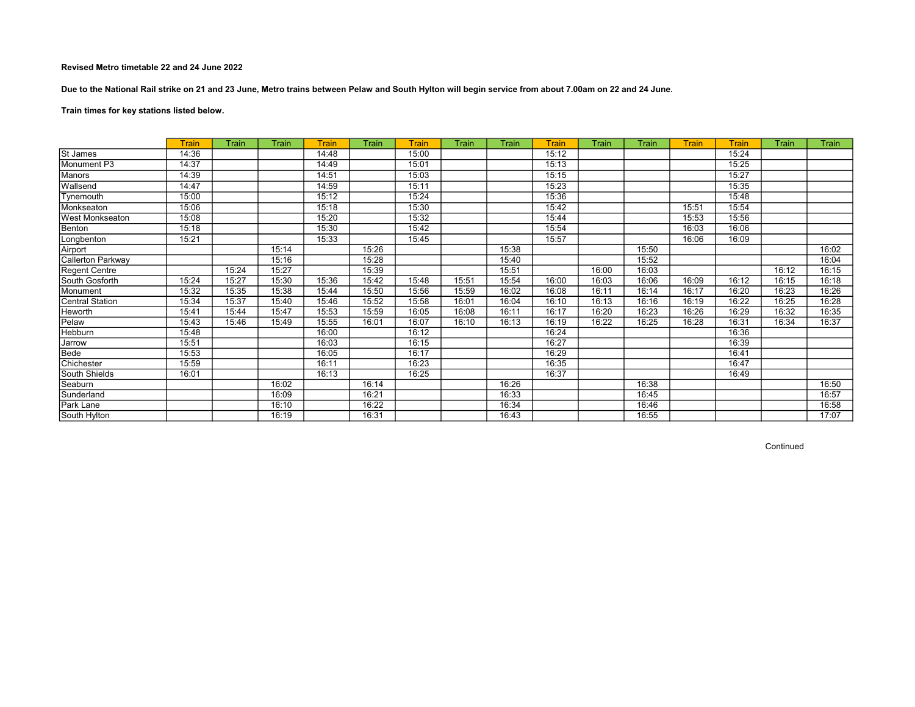Due to the National Rail strike on 21 and 23 June, Metro trains between Pelaw and South Hylton will begin service from about 7.00am on 22 and 24 June.

Train times for key stations listed below.

|                        | <b>Train</b> | Train | Train | <b>Train</b> | Train | <b>Train</b> | Train | Train | Train | Train | Train | <b>Train</b> | <b>Train</b> | Train | Train |
|------------------------|--------------|-------|-------|--------------|-------|--------------|-------|-------|-------|-------|-------|--------------|--------------|-------|-------|
| St James               | 14:36        |       |       | 14:48        |       | 15:00        |       |       | 15:12 |       |       |              | 15:24        |       |       |
| Monument P3            | 14:37        |       |       | 14:49        |       | 15:01        |       |       | 15:13 |       |       |              | 15:25        |       |       |
| Manors                 | 14:39        |       |       | 14:51        |       | 15:03        |       |       | 15:15 |       |       |              | 15:27        |       |       |
| Wallsend               | 14:47        |       |       | 14:59        |       | 15:11        |       |       | 15:23 |       |       |              | 15:35        |       |       |
| Tynemouth              | 15:00        |       |       | 15:12        |       | 15:24        |       |       | 15:36 |       |       |              | 15:48        |       |       |
| Monkseaton             | 15:06        |       |       | 15:18        |       | 15:30        |       |       | 15:42 |       |       | 15:51        | 15:54        |       |       |
| <b>West Monkseaton</b> | 15:08        |       |       | 15:20        |       | 15:32        |       |       | 15:44 |       |       | 15:53        | 15:56        |       |       |
| Benton                 | 15:18        |       |       | 15:30        |       | 15:42        |       |       | 15:54 |       |       | 16:03        | 16:06        |       |       |
| Longbenton             | 15:21        |       |       | 15:33        |       | 15:45        |       |       | 15:57 |       |       | 16:06        | 16:09        |       |       |
| Airport                |              |       | 15:14 |              | 15:26 |              |       | 15:38 |       |       | 15:50 |              |              |       | 16:02 |
| Callerton Parkway      |              |       | 15:16 |              | 15:28 |              |       | 15:40 |       |       | 15:52 |              |              |       | 16:04 |
| Regent Centre          |              | 15:24 | 15:27 |              | 15:39 |              |       | 15:51 |       | 16:00 | 16:03 |              |              | 16:12 | 16:15 |
| South Gosforth         | 15:24        | 15:27 | 15:30 | 15:36        | 15:42 | 15:48        | 15:51 | 15:54 | 16:00 | 16:03 | 16:06 | 16:09        | 16:12        | 16:15 | 16:18 |
| Monument               | 15:32        | 15:35 | 15:38 | 15:44        | 15:50 | 15:56        | 15:59 | 16:02 | 16:08 | 16:11 | 16:14 | 16:17        | 16:20        | 16:23 | 16:26 |
| Central Station        | 15:34        | 15:37 | 15:40 | 15:46        | 15:52 | 15:58        | 16:01 | 16:04 | 16:10 | 16:13 | 16:16 | 16:19        | 16:22        | 16:25 | 16:28 |
| <b>Heworth</b>         | 15:41        | 15:44 | 15:47 | 15:53        | 15:59 | 16:05        | 16:08 | 16:11 | 16:17 | 16:20 | 16:23 | 16:26        | 16:29        | 16:32 | 16:35 |
| Pelaw                  | 15:43        | 15:46 | 15:49 | 15:55        | 16:01 | 16:07        | 16:10 | 16:13 | 16:19 | 16:22 | 16:25 | 16:28        | 16:31        | 16:34 | 16:37 |
| Hebburn                | 15:48        |       |       | 16:00        |       | 16:12        |       |       | 16:24 |       |       |              | 16:36        |       |       |
| Jarrow                 | 15:51        |       |       | 16:03        |       | 16:15        |       |       | 16:27 |       |       |              | 16:39        |       |       |
| Bede                   | 15:53        |       |       | 16:05        |       | 16:17        |       |       | 16:29 |       |       |              | 16:41        |       |       |
| Chichester             | 15:59        |       |       | 16:11        |       | 16:23        |       |       | 16:35 |       |       |              | 16:47        |       |       |
| South Shields          | 16:01        |       |       | 16:13        |       | 16:25        |       |       | 16:37 |       |       |              | 16:49        |       |       |
| Seaburn                |              |       | 16:02 |              | 16:14 |              |       | 16:26 |       |       | 16:38 |              |              |       | 16:50 |
| Sunderland             |              |       | 16:09 |              | 16:21 |              |       | 16:33 |       |       | 16:45 |              |              |       | 16:57 |
| Park Lane              |              |       | 16:10 |              | 16:22 |              |       | 16:34 |       |       | 16:46 |              |              |       | 16:58 |
| South Hylton           |              |       | 16:19 |              | 16:31 |              |       | 16:43 |       |       | 16:55 |              |              |       | 17:07 |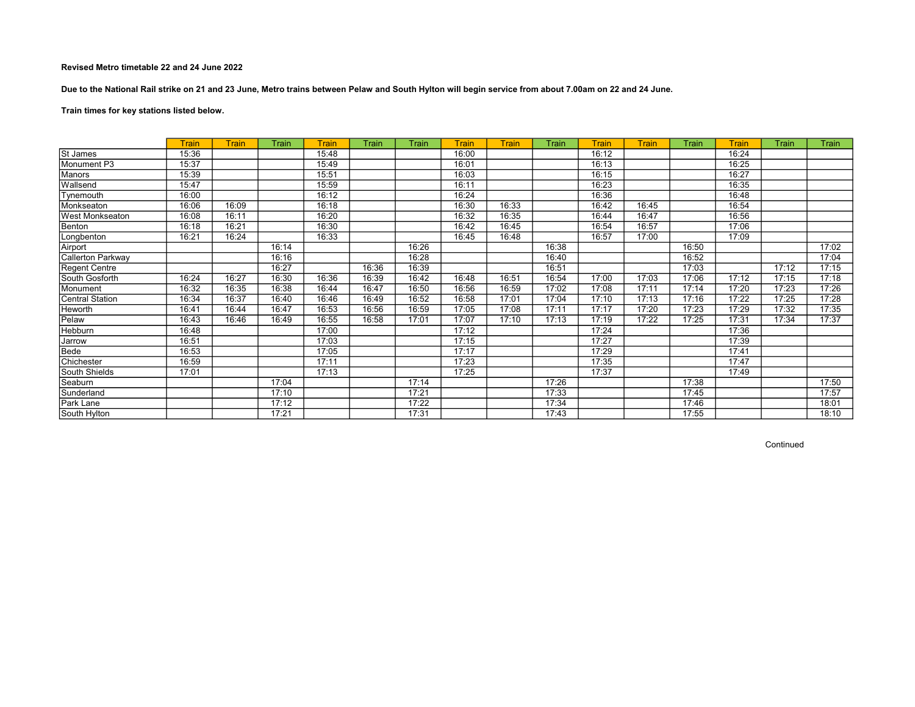Due to the National Rail strike on 21 and 23 June, Metro trains between Pelaw and South Hylton will begin service from about 7.00am on 22 and 24 June.

Train times for key stations listed below.

|                          | <b>Train</b> | Train | Train | Train | Train | Train | Train | Train | Train | Train | <b>Train</b> | Train | Train | Train | Train |
|--------------------------|--------------|-------|-------|-------|-------|-------|-------|-------|-------|-------|--------------|-------|-------|-------|-------|
| St James                 | 15:36        |       |       | 15:48 |       |       | 16:00 |       |       | 16:12 |              |       | 16:24 |       |       |
| Monument P3              | 15:37        |       |       | 15:49 |       |       | 16:01 |       |       | 16:13 |              |       | 16:25 |       |       |
| Manors                   | 15:39        |       |       | 15:51 |       |       | 16:03 |       |       | 16:15 |              |       | 16:27 |       |       |
| Wallsend                 | 15:47        |       |       | 15:59 |       |       | 16:11 |       |       | 16:23 |              |       | 16:35 |       |       |
| Tynemouth                | 16:00        |       |       | 16:12 |       |       | 16:24 |       |       | 16:36 |              |       | 16:48 |       |       |
| Monkseaton               | 16:06        | 16:09 |       | 16:18 |       |       | 16:30 | 16:33 |       | 16:42 | 16:45        |       | 16:54 |       |       |
| West Monkseaton          | 16:08        | 16:11 |       | 16:20 |       |       | 16:32 | 16:35 |       | 16:44 | 16:47        |       | 16:56 |       |       |
| Benton                   | 16:18        | 16:21 |       | 16:30 |       |       | 16:42 | 16:45 |       | 16:54 | 16:57        |       | 17:06 |       |       |
| Longbenton               | 16:21        | 16:24 |       | 16:33 |       |       | 16:45 | 16:48 |       | 16:57 | 17:00        |       | 17:09 |       |       |
| Airport                  |              |       | 16:14 |       |       | 16:26 |       |       | 16:38 |       |              | 16:50 |       |       | 17:02 |
| <b>Callerton Parkway</b> |              |       | 16:16 |       |       | 16:28 |       |       | 16:40 |       |              | 16:52 |       |       | 17:04 |
| Regent Centre            |              |       | 16:27 |       | 16:36 | 16:39 |       |       | 16:51 |       |              | 17:03 |       | 17:12 | 17:15 |
| South Gosforth           | 16:24        | 16:27 | 16:30 | 16:36 | 16:39 | 16:42 | 16:48 | 16:51 | 16:54 | 17:00 | 17:03        | 17:06 | 17:12 | 17:15 | 17:18 |
| Monument                 | 16:32        | 16:35 | 16:38 | 16:44 | 16:47 | 16:50 | 16:56 | 16:59 | 17:02 | 17:08 | 17:11        | 17:14 | 17:20 | 17:23 | 17:26 |
| Central Station          | 16:34        | 16:37 | 16:40 | 16:46 | 16:49 | 16:52 | 16:58 | 17:01 | 17:04 | 17:10 | 17:13        | 17:16 | 17:22 | 17:25 | 17:28 |
| Heworth                  | 16:41        | 16:44 | 16:47 | 16:53 | 16:56 | 16:59 | 17:05 | 17:08 | 17:11 | 17:17 | 17:20        | 17:23 | 17:29 | 17:32 | 17:35 |
| Pelaw                    | 16:43        | 16:46 | 16:49 | 16:55 | 16:58 | 17:01 | 17:07 | 17:10 | 17:13 | 17:19 | 17:22        | 17:25 | 17:31 | 17:34 | 17:37 |
| Hebburn                  | 16:48        |       |       | 17:00 |       |       | 17:12 |       |       | 17:24 |              |       | 17:36 |       |       |
| <b>Jarrow</b>            | 16:51        |       |       | 17:03 |       |       | 17:15 |       |       | 17:27 |              |       | 17:39 |       |       |
| Bede                     | 16:53        |       |       | 17:05 |       |       | 17:17 |       |       | 17:29 |              |       | 17:41 |       |       |
| Chichester               | 16:59        |       |       | 17:11 |       |       | 17:23 |       |       | 17:35 |              |       | 17:47 |       |       |
| South Shields            | 17:01        |       |       | 17:13 |       |       | 17:25 |       |       | 17:37 |              |       | 17:49 |       |       |
| Seaburn                  |              |       | 17:04 |       |       | 17:14 |       |       | 17:26 |       |              | 17:38 |       |       | 17:50 |
| Sunderland               |              |       | 17:10 |       |       | 17:21 |       |       | 17:33 |       |              | 17:45 |       |       | 17:57 |
| Park Lane                |              |       | 17:12 |       |       | 17:22 |       |       | 17:34 |       |              | 17:46 |       |       | 18:01 |
| South Hylton             |              |       | 17:21 |       |       | 17:31 |       |       | 17:43 |       |              | 17:55 |       |       | 18:10 |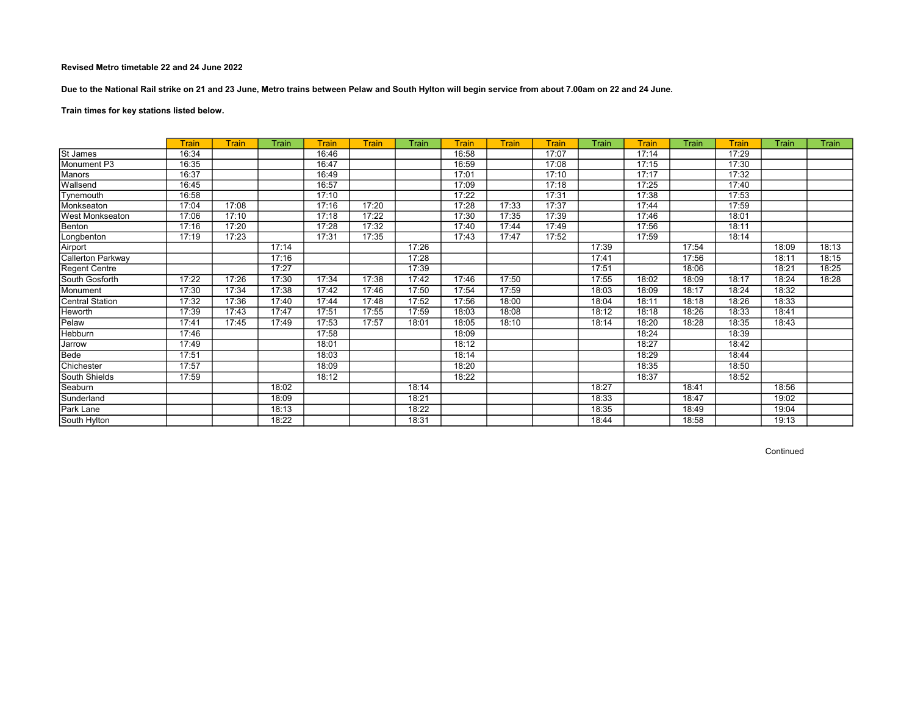Due to the National Rail strike on 21 and 23 June, Metro trains between Pelaw and South Hylton will begin service from about 7.00am on 22 and 24 June.

Train times for key stations listed below.

|                      | Train | <b>Train</b> | Train | Train | <b>Train</b> | Train | Train | Train | <b>Train</b> | Train | <b>Train</b> | Train | Train | Train | Train |
|----------------------|-------|--------------|-------|-------|--------------|-------|-------|-------|--------------|-------|--------------|-------|-------|-------|-------|
| St James             | 16:34 |              |       | 16:46 |              |       | 16:58 |       | 17:07        |       | 17:14        |       | 17:29 |       |       |
| Monument P3          | 16:35 |              |       | 16:47 |              |       | 16:59 |       | 17:08        |       | 17:15        |       | 17:30 |       |       |
| Manors               | 16:37 |              |       | 16:49 |              |       | 17:01 |       | 17:10        |       | 17:17        |       | 17:32 |       |       |
| Wallsend             | 16:45 |              |       | 16:57 |              |       | 17:09 |       | 17:18        |       | 17:25        |       | 17:40 |       |       |
| Tynemouth            | 16:58 |              |       | 17:10 |              |       | 17:22 |       | 17:31        |       | 17:38        |       | 17:53 |       |       |
| Monkseaton           | 17:04 | 17:08        |       | 17:16 | 17:20        |       | 17:28 | 17:33 | 17:37        |       | 17:44        |       | 17:59 |       |       |
| West Monkseaton      | 17:06 | 17:10        |       | 17:18 | 17:22        |       | 17:30 | 17:35 | 17:39        |       | 17:46        |       | 18:01 |       |       |
| Benton               | 17:16 | 17:20        |       | 17:28 | 17:32        |       | 17:40 | 17:44 | 17:49        |       | 17:56        |       | 18:11 |       |       |
| Longbenton           | 17:19 | 17:23        |       | 17:31 | 17:35        |       | 17:43 | 17:47 | 17:52        |       | 17:59        |       | 18:14 |       |       |
| Airport              |       |              | 17:14 |       |              | 17:26 |       |       |              | 17:39 |              | 17:54 |       | 18:09 | 18:13 |
| Callerton Parkway    |       |              | 17:16 |       |              | 17:28 |       |       |              | 17:41 |              | 17:56 |       | 18:11 | 18:15 |
| <b>Regent Centre</b> |       |              | 17:27 |       |              | 17:39 |       |       |              | 17:51 |              | 18:06 |       | 18:21 | 18:25 |
| South Gosforth       | 17:22 | 17:26        | 17:30 | 17:34 | 17:38        | 17:42 | 17:46 | 17:50 |              | 17:55 | 18:02        | 18:09 | 18:17 | 18:24 | 18:28 |
| Monument             | 17:30 | 17:34        | 17:38 | 17:42 | 17:46        | 17:50 | 17:54 | 17:59 |              | 18:03 | 18:09        | 18:17 | 18:24 | 18:32 |       |
| Central Station      | 17:32 | 17:36        | 17:40 | 17:44 | 17:48        | 17:52 | 17:56 | 18:00 |              | 18:04 | 18:11        | 18:18 | 18:26 | 18:33 |       |
| Heworth              | 17:39 | 17:43        | 17:47 | 17:51 | 17:55        | 17:59 | 18:03 | 18:08 |              | 18:12 | 18:18        | 18:26 | 18:33 | 18:41 |       |
| Pelaw                | 17:41 | 17:45        | 17:49 | 17:53 | 17:57        | 18:01 | 18:05 | 18:10 |              | 18:14 | 18:20        | 18:28 | 18:35 | 18:43 |       |
| <b>Hebburn</b>       | 17:46 |              |       | 17:58 |              |       | 18:09 |       |              |       | 18:24        |       | 18:39 |       |       |
| Jarrow               | 17:49 |              |       | 18:01 |              |       | 18:12 |       |              |       | 18:27        |       | 18:42 |       |       |
| Bede                 | 17:51 |              |       | 18:03 |              |       | 18:14 |       |              |       | 18:29        |       | 18:44 |       |       |
| Chichester           | 17:57 |              |       | 18:09 |              |       | 18:20 |       |              |       | 18:35        |       | 18:50 |       |       |
| South Shields        | 17:59 |              |       | 18:12 |              |       | 18:22 |       |              |       | 18:37        |       | 18:52 |       |       |
| Seaburn              |       |              | 18:02 |       |              | 18:14 |       |       |              | 18:27 |              | 18:41 |       | 18:56 |       |
| Sunderland           |       |              | 18:09 |       |              | 18:21 |       |       |              | 18:33 |              | 18:47 |       | 19:02 |       |
| Park Lane            |       |              | 18:13 |       |              | 18:22 |       |       |              | 18:35 |              | 18:49 |       | 19:04 |       |
| South Hylton         |       |              | 18:22 |       |              | 18:31 |       |       |              | 18:44 |              | 18:58 |       | 19:13 |       |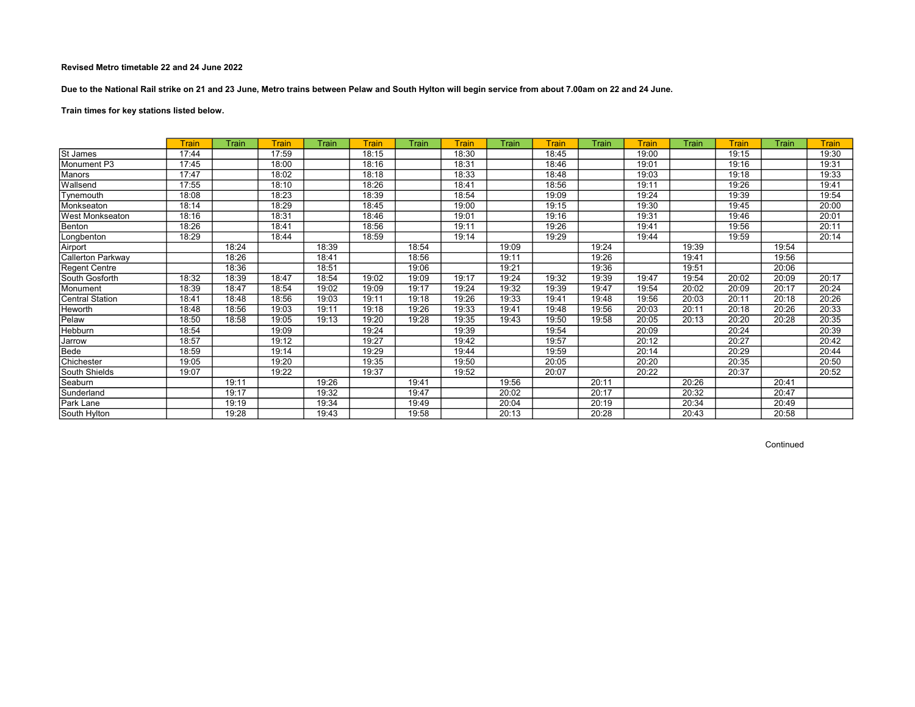Due to the National Rail strike on 21 and 23 June, Metro trains between Pelaw and South Hylton will begin service from about 7.00am on 22 and 24 June.

# Train times for key stations listed below.

|                        | Train | Train | <b>Train</b> | Train | <b>Train</b> | Train | Train | Train | Train | Train | <b>Train</b> | Train | Train | Train | <b>Train</b> |
|------------------------|-------|-------|--------------|-------|--------------|-------|-------|-------|-------|-------|--------------|-------|-------|-------|--------------|
| St James               | 17:44 |       | 17:59        |       | 18:15        |       | 18:30 |       | 18:45 |       | 19:00        |       | 19:15 |       | 19:30        |
| Monument P3            | 17:45 |       | 18:00        |       | 18:16        |       | 18:31 |       | 18:46 |       | 19:01        |       | 19:16 |       | 19:31        |
| Manors                 | 17:47 |       | 18:02        |       | 18:18        |       | 18:33 |       | 18:48 |       | 19:03        |       | 19:18 |       | 19:33        |
| Wallsend               | 17:55 |       | 18:10        |       | 18:26        |       | 18:41 |       | 18:56 |       | 19:11        |       | 19:26 |       | 19:41        |
| Tynemouth              | 18:08 |       | 18:23        |       | 18:39        |       | 18:54 |       | 19:09 |       | 19:24        |       | 19:39 |       | 19:54        |
| Monkseaton             | 18:14 |       | 18:29        |       | 18:45        |       | 19:00 |       | 19:15 |       | 19:30        |       | 19:45 |       | 20:00        |
| <b>West Monkseaton</b> | 18:16 |       | 18:31        |       | 18:46        |       | 19:01 |       | 19:16 |       | 19:31        |       | 19:46 |       | 20:01        |
| Benton                 | 18:26 |       | 18:41        |       | 18:56        |       | 19:11 |       | 19:26 |       | 19:41        |       | 19:56 |       | 20:11        |
| Longbenton             | 18:29 |       | 18:44        |       | 18:59        |       | 19:14 |       | 19:29 |       | 19:44        |       | 19:59 |       | 20:14        |
| Airport                |       | 18:24 |              | 18:39 |              | 18:54 |       | 19:09 |       | 19:24 |              | 19:39 |       | 19:54 |              |
| Callerton Parkway      |       | 18:26 |              | 18:41 |              | 18:56 |       | 19:11 |       | 19:26 |              | 19:41 |       | 19:56 |              |
| <b>Regent Centre</b>   |       | 18:36 |              | 18:51 |              | 19:06 |       | 19:21 |       | 19:36 |              | 19:51 |       | 20:06 |              |
| South Gosforth         | 18:32 | 18:39 | 18:47        | 18:54 | 19:02        | 19:09 | 19:17 | 19:24 | 19:32 | 19:39 | 19:47        | 19:54 | 20:02 | 20:09 | 20:17        |
| Monument               | 18:39 | 18:47 | 18:54        | 19:02 | 19:09        | 19:17 | 19:24 | 19:32 | 19:39 | 19:47 | 19:54        | 20:02 | 20:09 | 20:17 | 20:24        |
| <b>Central Station</b> | 18:41 | 18:48 | 18:56        | 19:03 | 19:11        | 19:18 | 19:26 | 19:33 | 19:41 | 19:48 | 19:56        | 20:03 | 20:11 | 20:18 | 20:26        |
| Heworth                | 18:48 | 18:56 | 19:03        | 19:11 | 19:18        | 19:26 | 19:33 | 19:41 | 19:48 | 19:56 | 20:03        | 20:11 | 20:18 | 20:26 | 20:33        |
| Pelaw                  | 18:50 | 18:58 | 19:05        | 19:13 | 19:20        | 19:28 | 19:35 | 19:43 | 19:50 | 19:58 | 20:05        | 20:13 | 20:20 | 20:28 | 20:35        |
| Hebburn                | 18:54 |       | 19:09        |       | 19:24        |       | 19:39 |       | 19:54 |       | 20:09        |       | 20:24 |       | 20:39        |
| Jarrow                 | 18:57 |       | 19:12        |       | 19:27        |       | 19:42 |       | 19:57 |       | 20:12        |       | 20:27 |       | 20:42        |
| Bede                   | 18:59 |       | 19:14        |       | 19:29        |       | 19:44 |       | 19:59 |       | 20:14        |       | 20:29 |       | 20:44        |
| Chichester             | 19:05 |       | 19:20        |       | 19:35        |       | 19:50 |       | 20:05 |       | 20:20        |       | 20:35 |       | 20:50        |
| South Shields          | 19:07 |       | 19:22        |       | 19:37        |       | 19:52 |       | 20:07 |       | 20:22        |       | 20:37 |       | 20:52        |
| Seaburn                |       | 19:11 |              | 19:26 |              | 19:41 |       | 19:56 |       | 20:11 |              | 20:26 |       | 20:41 |              |
| Sunderland             |       | 19:17 |              | 19:32 |              | 19:47 |       | 20:02 |       | 20:17 |              | 20:32 |       | 20:47 |              |
| Park Lane              |       | 19:19 |              | 19:34 |              | 19:49 |       | 20:04 |       | 20:19 |              | 20:34 |       | 20:49 |              |
| South Hylton           |       | 19:28 |              | 19:43 |              | 19:58 |       | 20:13 |       | 20:28 |              | 20:43 |       | 20:58 |              |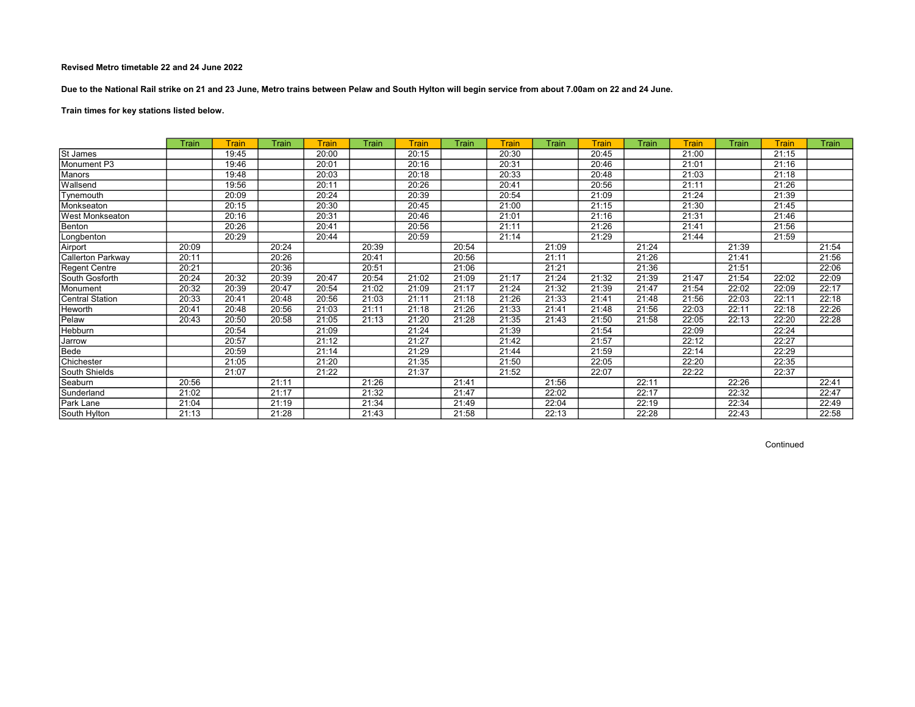Due to the National Rail strike on 21 and 23 June, Metro trains between Pelaw and South Hylton will begin service from about 7.00am on 22 and 24 June.

Train times for key stations listed below.

|                          | Train | Train | Train | Train | Train | <b>Train</b> | Train | Train | Train | Train | Train | Train | Train | Train | Train |
|--------------------------|-------|-------|-------|-------|-------|--------------|-------|-------|-------|-------|-------|-------|-------|-------|-------|
| St James                 |       | 19:45 |       | 20:00 |       | 20:15        |       | 20:30 |       | 20:45 |       | 21:00 |       | 21:15 |       |
| Monument P3              |       | 19:46 |       | 20:01 |       | 20:16        |       | 20:31 |       | 20:46 |       | 21:01 |       | 21:16 |       |
| Manors                   |       | 19:48 |       | 20:03 |       | 20:18        |       | 20:33 |       | 20:48 |       | 21:03 |       | 21:18 |       |
| Wallsend                 |       | 19:56 |       | 20:11 |       | 20:26        |       | 20:41 |       | 20:56 |       | 21:11 |       | 21:26 |       |
| Tynemouth                |       | 20:09 |       | 20:24 |       | 20:39        |       | 20:54 |       | 21:09 |       | 21:24 |       | 21:39 |       |
| Monkseaton               |       | 20:15 |       | 20:30 |       | 20:45        |       | 21:00 |       | 21:15 |       | 21:30 |       | 21:45 |       |
| West Monkseaton          |       | 20:16 |       | 20:31 |       | 20:46        |       | 21:01 |       | 21:16 |       | 21:31 |       | 21:46 |       |
| Benton                   |       | 20:26 |       | 20:41 |       | 20:56        |       | 21:11 |       | 21:26 |       | 21:41 |       | 21:56 |       |
| Longbenton               |       | 20:29 |       | 20:44 |       | 20:59        |       | 21:14 |       | 21:29 |       | 21:44 |       | 21:59 |       |
| Airport                  | 20:09 |       | 20:24 |       | 20:39 |              | 20:54 |       | 21:09 |       | 21:24 |       | 21:39 |       | 21:54 |
| <b>Callerton Parkway</b> | 20:11 |       | 20:26 |       | 20:41 |              | 20:56 |       | 21:11 |       | 21:26 |       | 21:41 |       | 21:56 |
| <b>Regent Centre</b>     | 20:21 |       | 20:36 |       | 20:51 |              | 21:06 |       | 21:21 |       | 21:36 |       | 21:51 |       | 22:06 |
| South Gosforth           | 20:24 | 20:32 | 20:39 | 20:47 | 20:54 | 21:02        | 21:09 | 21:17 | 21:24 | 21:32 | 21:39 | 21:47 | 21:54 | 22:02 | 22:09 |
| Monument                 | 20:32 | 20:39 | 20:47 | 20:54 | 21:02 | 21:09        | 21:17 | 21:24 | 21:32 | 21:39 | 21:47 | 21:54 | 22:02 | 22:09 | 22:17 |
| <b>Central Station</b>   | 20:33 | 20:41 | 20:48 | 20:56 | 21:03 | 21:11        | 21:18 | 21:26 | 21:33 | 21:41 | 21:48 | 21:56 | 22:03 | 22:11 | 22:18 |
| Heworth                  | 20:41 | 20:48 | 20:56 | 21:03 | 21:11 | 21:18        | 21:26 | 21:33 | 21:41 | 21:48 | 21:56 | 22:03 | 22:11 | 22:18 | 22:26 |
| Pelaw                    | 20:43 | 20:50 | 20:58 | 21:05 | 21:13 | 21:20        | 21:28 | 21:35 | 21:43 | 21:50 | 21:58 | 22:05 | 22:13 | 22:20 | 22:28 |
| Hebburn                  |       | 20:54 |       | 21:09 |       | 21:24        |       | 21:39 |       | 21:54 |       | 22:09 |       | 22:24 |       |
| Jarrow                   |       | 20:57 |       | 21:12 |       | 21:27        |       | 21:42 |       | 21:57 |       | 22:12 |       | 22:27 |       |
| Bede                     |       | 20:59 |       | 21:14 |       | 21:29        |       | 21:44 |       | 21:59 |       | 22:14 |       | 22:29 |       |
| Chichester               |       | 21:05 |       | 21:20 |       | 21:35        |       | 21:50 |       | 22:05 |       | 22:20 |       | 22:35 |       |
| South Shields            |       | 21:07 |       | 21:22 |       | 21:37        |       | 21:52 |       | 22:07 |       | 22:22 |       | 22:37 |       |
| Seaburn                  | 20:56 |       | 21:11 |       | 21:26 |              | 21:41 |       | 21:56 |       | 22:11 |       | 22:26 |       | 22:41 |
| Sunderland               | 21:02 |       | 21:17 |       | 21:32 |              | 21:47 |       | 22:02 |       | 22:17 |       | 22:32 |       | 22:47 |
| Park Lane                | 21:04 |       | 21:19 |       | 21:34 |              | 21:49 |       | 22:04 |       | 22:19 |       | 22:34 |       | 22:49 |
| South Hylton             | 21:13 |       | 21:28 |       | 21:43 |              | 21:58 |       | 22:13 |       | 22:28 |       | 22:43 |       | 22:58 |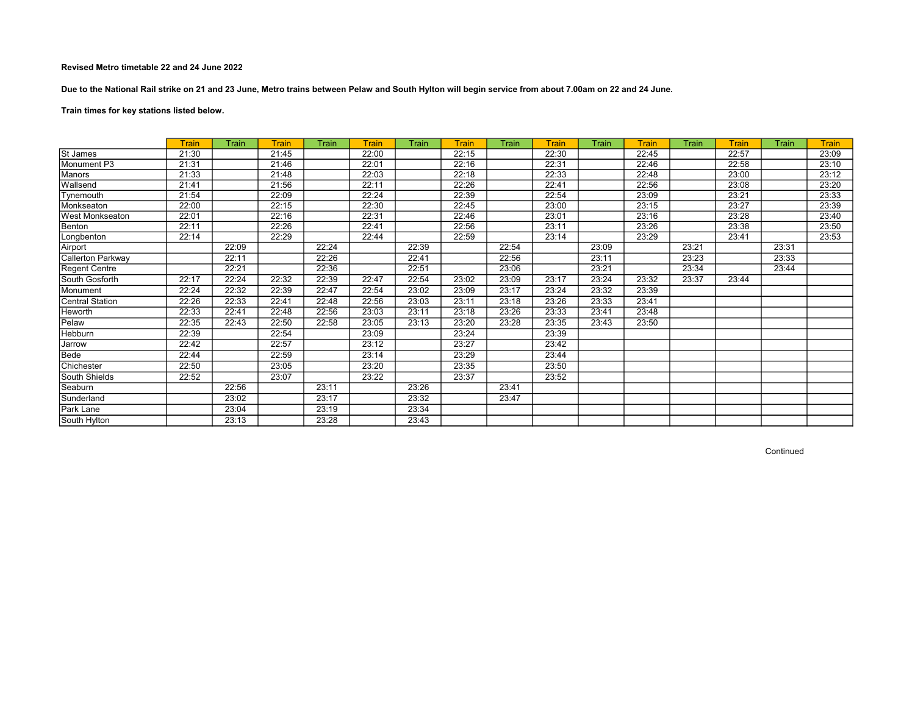Due to the National Rail strike on 21 and 23 June, Metro trains between Pelaw and South Hylton will begin service from about 7.00am on 22 and 24 June.

# Train times for key stations listed below.

|                        | <b>Train</b> | Train | Train | Train | <b>Train</b> | Train | Train | Train | <b>Train</b> | Train | <b>Train</b> | Train | Train | Train | <b>Train</b> |
|------------------------|--------------|-------|-------|-------|--------------|-------|-------|-------|--------------|-------|--------------|-------|-------|-------|--------------|
| St James               | 21:30        |       | 21:45 |       | 22:00        |       | 22:15 |       | 22:30        |       | 22:45        |       | 22:57 |       | 23:09        |
| Monument P3            | 21:31        |       | 21:46 |       | 22:01        |       | 22:16 |       | 22:31        |       | 22:46        |       | 22:58 |       | 23:10        |
| <b>Manors</b>          | 21:33        |       | 21:48 |       | 22:03        |       | 22:18 |       | 22:33        |       | 22:48        |       | 23:00 |       | 23:12        |
| Wallsend               | 21:41        |       | 21:56 |       | 22:11        |       | 22:26 |       | 22:41        |       | 22:56        |       | 23:08 |       | 23:20        |
| Tynemouth              | 21:54        |       | 22:09 |       | 22:24        |       | 22:39 |       | 22:54        |       | 23:09        |       | 23:21 |       | 23:33        |
| Monkseaton             | 22:00        |       | 22:15 |       | 22:30        |       | 22:45 |       | 23:00        |       | 23:15        |       | 23:27 |       | 23:39        |
| <b>West Monkseaton</b> | 22:01        |       | 22:16 |       | 22:31        |       | 22:46 |       | 23:01        |       | 23:16        |       | 23:28 |       | 23:40        |
| Benton                 | 22:11        |       | 22:26 |       | 22:41        |       | 22:56 |       | 23:11        |       | 23:26        |       | 23:38 |       | 23:50        |
| Longbenton             | 22:14        |       | 22:29 |       | 22:44        |       | 22:59 |       | 23:14        |       | 23:29        |       | 23:41 |       | 23:53        |
| Airport                |              | 22:09 |       | 22:24 |              | 22:39 |       | 22:54 |              | 23:09 |              | 23:21 |       | 23:31 |              |
| Callerton Parkway      |              | 22:11 |       | 22:26 |              | 22:41 |       | 22:56 |              | 23:11 |              | 23:23 |       | 23:33 |              |
| <b>Regent Centre</b>   |              | 22:21 |       | 22:36 |              | 22:51 |       | 23:06 |              | 23:21 |              | 23:34 |       | 23:44 |              |
| South Gosforth         | 22:17        | 22:24 | 22:32 | 22:39 | 22:47        | 22:54 | 23:02 | 23:09 | 23:17        | 23:24 | 23:32        | 23:37 | 23:44 |       |              |
| Monument               | 22:24        | 22:32 | 22:39 | 22:47 | 22:54        | 23:02 | 23:09 | 23:17 | 23:24        | 23:32 | 23:39        |       |       |       |              |
| Central Station        | 22:26        | 22:33 | 22:41 | 22:48 | 22:56        | 23:03 | 23:11 | 23:18 | 23:26        | 23:33 | 23:41        |       |       |       |              |
| Heworth                | 22:33        | 22:41 | 22:48 | 22:56 | 23:03        | 23:11 | 23:18 | 23:26 | 23:33        | 23:41 | 23:48        |       |       |       |              |
| Pelaw                  | 22:35        | 22:43 | 22:50 | 22:58 | 23:05        | 23:13 | 23:20 | 23:28 | 23:35        | 23:43 | 23:50        |       |       |       |              |
| Hebburn                | 22:39        |       | 22:54 |       | 23:09        |       | 23:24 |       | 23:39        |       |              |       |       |       |              |
| Jarrow                 | 22:42        |       | 22:57 |       | 23:12        |       | 23:27 |       | 23:42        |       |              |       |       |       |              |
| Bede                   | 22:44        |       | 22:59 |       | 23:14        |       | 23:29 |       | 23:44        |       |              |       |       |       |              |
| Chichester             | 22:50        |       | 23:05 |       | 23:20        |       | 23:35 |       | 23:50        |       |              |       |       |       |              |
| South Shields          | 22:52        |       | 23:07 |       | 23:22        |       | 23:37 |       | 23:52        |       |              |       |       |       |              |
| Seaburn                |              | 22:56 |       | 23:11 |              | 23:26 |       | 23:41 |              |       |              |       |       |       |              |
| Sunderland             |              | 23:02 |       | 23:17 |              | 23:32 |       | 23:47 |              |       |              |       |       |       |              |
| <b>Park Lane</b>       |              | 23:04 |       | 23:19 |              | 23:34 |       |       |              |       |              |       |       |       |              |
| South Hylton           |              | 23:13 |       | 23:28 |              | 23:43 |       |       |              |       |              |       |       |       |              |